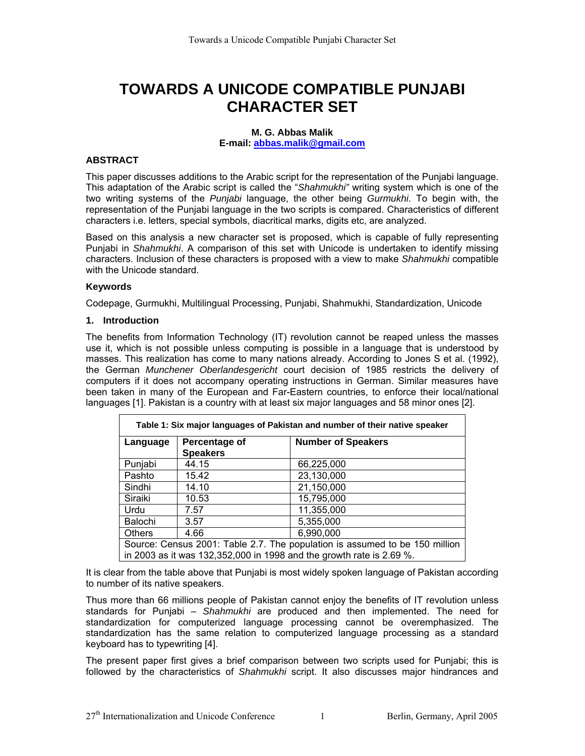# **TOWARDS A UNICODE COMPATIBLE PUNJABI CHARACTER SET**

#### **M. G. Abbas Malik**

**E-mail: [abbas.malik@gmail.com](mailto:abbas.malik@gmail.com)**

# **ABSTRACT**

This paper discusses additions to the Arabic script for the representation of the Punjabi language. This adaptation of the Arabic script is called the "*Shahmukhi"* writing system which is one of the two writing systems of the *Punjabi* language, the other being *Gurmukhi*. To begin with, the representation of the Punjabi language in the two scripts is compared. Characteristics of different characters i.e. letters, special symbols, diacritical marks, digits etc, are analyzed.

Based on this analysis a new character set is proposed, which is capable of fully representing Punjabi in *Shahmukhi*. A comparison of this set with Unicode is undertaken to identify missing characters. Inclusion of these characters is proposed with a view to make *Shahmukhi* compatible with the Unicode standard.

#### **Keywords**

Codepage, Gurmukhi, Multilingual Processing, Punjabi, Shahmukhi, Standardization, Unicode

#### **1. Introduction**

The benefits from Information Technology (IT) revolution cannot be reaped unless the masses use it, which is not possible unless computing is possible in a language that is understood by masses. This realization has come to many nations already. According to Jones S et al. (1992), the German *Munchener Oberlandesgericht* court decision of 1985 restricts the delivery of computers if it does not accompany operating instructions in German. Similar measures have been taken in many of the European and Far-Eastern countries, to enforce their local/national languages [1]. Pakistan is a country with at least six major languages and 58 minor ones [2].

| Table 1: Six major languages of Pakistan and number of their native speaker |                                  |                           |  |  |  |  |
|-----------------------------------------------------------------------------|----------------------------------|---------------------------|--|--|--|--|
| Language                                                                    | Percentage of<br><b>Speakers</b> | <b>Number of Speakers</b> |  |  |  |  |
| Punjabi                                                                     | 44.15                            | 66,225,000                |  |  |  |  |
| Pashto                                                                      | 15.42                            | 23,130,000                |  |  |  |  |
| Sindhi                                                                      | 14.10                            | 21,150,000                |  |  |  |  |
| Siraiki                                                                     | 10.53                            | 15,795,000                |  |  |  |  |
| Urdu                                                                        | 7.57                             | 11,355,000                |  |  |  |  |
| Balochi                                                                     | 3.57                             | 5,355,000                 |  |  |  |  |
| <b>Others</b>                                                               | 4.66                             | 6,990,000                 |  |  |  |  |
| Source: Census 2001: Table 2.7. The population is assumed to be 150 million |                                  |                           |  |  |  |  |
| in 2003 as it was 132,352,000 in 1998 and the growth rate is 2.69 %.        |                                  |                           |  |  |  |  |

It is clear from the table above that Punjabi is most widely spoken language of Pakistan according to number of its native speakers.

Thus more than 66 millions people of Pakistan cannot enjoy the benefits of IT revolution unless standards for Punjabi – *Shahmukhi* are produced and then implemented. The need for standardization for computerized language processing cannot be overemphasized. The standardization has the same relation to computerized language processing as a standard keyboard has to typewriting [4].

The present paper first gives a brief comparison between two scripts used for Punjabi; this is followed by the characteristics of *Shahmukhi* script. It also discusses major hindrances and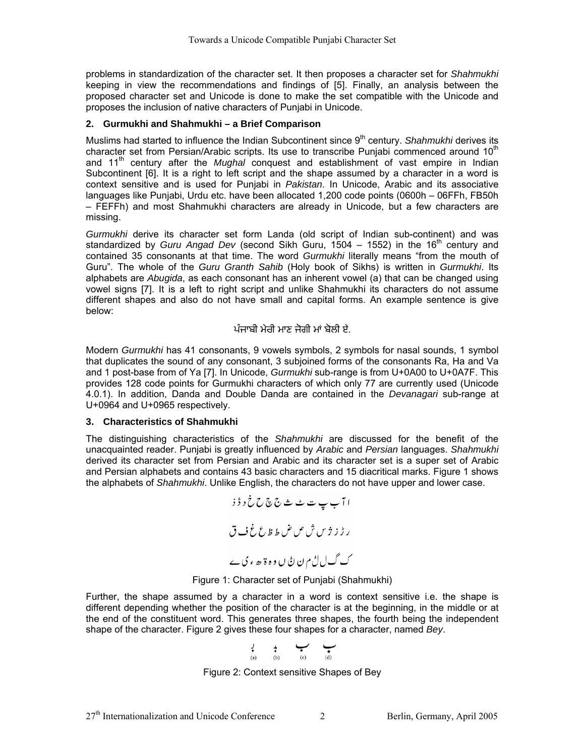problems in standardization of the character set. It then proposes a character set for *Shahmukhi* keeping in view the recommendations and findings of [5]. Finally, an analysis between the proposed character set and Unicode is done to make the set compatible with the Unicode and proposes the inclusion of native characters of Punjabi in Unicode.

# **2. Gurmukhi and Shahmukhi – a Brief Comparison**

Muslims had started to influence the Indian Subcontinent since 9<sup>th</sup> century. *Shahmukhi* derives its character set from Persian/Arabic scripts. Its use to transcribe Punjabi commenced around  $10<sup>th</sup>$ and 11<sup>th</sup> century after the *Mughal* conquest and establishment of vast empire in Indian Subcontinent [6]. It is a right to left script and the shape assumed by a character in a word is context sensitive and is used for Punjabi in *Pakistan*. In Unicode, Arabic and its associative languages like Punjabi, Urdu etc. have been allocated 1,200 code points (0600h – 06FFh, FB50h – FEFFh) and most Shahmukhi characters are already in Unicode, but a few characters are missing.

*Gurmukhi* derive its character set form Landa (old script of Indian sub-continent) and was standardized by *Guru Angad Dev* (second Sikh Guru, 1504 – 1552) in the 16<sup>th</sup> century and contained 35 consonants at that time. The word *Gurmukhi* literally means "from the mouth of Guru". The whole of the *Guru Granth Sahib* (Holy book of Sikhs) is written in *Gurmukhi*. Its alphabets are *Abugida*, as each consonant has an inherent vowel (a) that can be changed using vowel signs [7]. It is a left to right script and unlike Shahmukhi its characters do not assume different shapes and also do not have small and capital forms. An example sentence is give below:

# ਪੰਜਾਬੀ ਮੇਰੀ ਮਾਣ ਜੋਗੀ ਮਾਂ ਬੋਲੀ ਏ

Modern *Gurmukhi* has 41 consonants, 9 vowels symbols, 2 symbols for nasal sounds, 1 symbol that duplicates the sound of any consonant, 3 subjoined forms of the consonants Ra, Ha and Va and 1 post-base from of Ya [7]. In Unicode, *Gurmukhi* sub-range is from U+0A00 to U+0A7F. This provides 128 code points for Gurmukhi characters of which only 77 are currently used (Unicode 4.0.1). In addition, Danda and Double Danda are contained in the *Devanagari* sub-range at U+0964 and U+0965 respectively.

# **3. Characteristics of Shahmukhi**

The distinguishing characteristics of the *Shahmukhi* are discussed for the benefit of the unacquainted reader. Punjabi is greatly influenced by *Arabic* and *Persian* languages. *Shahmukhi* derived its character set from Persian and Arabic and its character set is a super set of Arabic and Persian alphabets and contains 43 basic characters and 15 diacritical marks. Figure 1 shows the alphabets of *Shahmukhi*. Unlike English, the characters do not have upper and lower case.



Figure 1: Character set of Punjabi (Shahmukhi)

Further, the shape assumed by a character in a word is context sensitive i.e. the shape is different depending whether the position of the character is at the beginning, in the middle or at the end of the constituent word. This generates three shapes, the fourth being the independent shape of the character. Figure 2 gives these four shapes for a character, named *Bey*.

$$
\begin{array}{ccccc}\n\downarrow & & \downarrow & & \longleftarrow & & \bullet \\
\downarrow & & \downarrow & & & \bullet & & \bullet \\
\downarrow & & & \downarrow & & & \bullet & & \bullet \\
\downarrow & & & \downarrow & & & \bullet & & \bullet \\
\downarrow & & & \downarrow & & & \bullet & & \bullet \\
\downarrow & & & \downarrow & & & \bullet & & \bullet\n\end{array}
$$

Figure 2: Context sensitive Shapes of Bey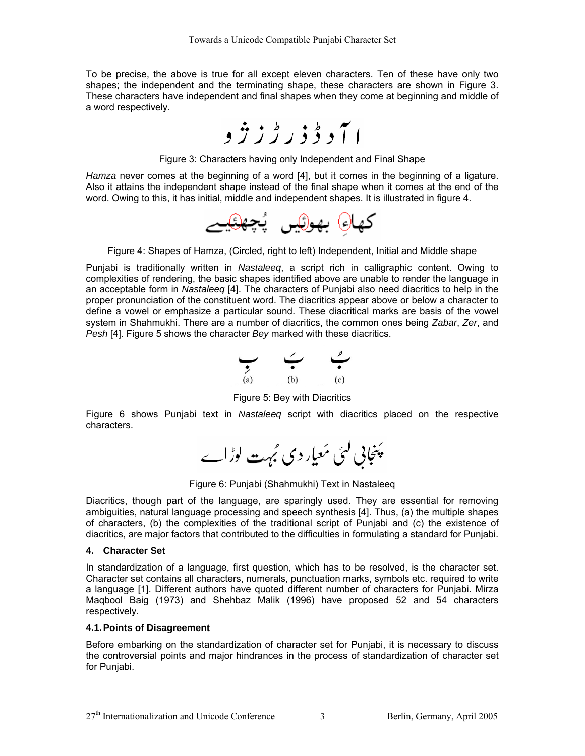To be precise, the above is true for all except eleven characters. Ten of these have only two shapes; the independent and the terminating shape, these characters are shown in Figure 3. These characters have independent and final shapes when they come at beginning and middle of a word respectively.



Figure 3: Characters having only Independent and Final Shape

*Hamza* never comes at the beginning of a word [4], but it comes in the beginning of a ligature. Also it attains the independent shape instead of the final shape when it comes at the end of the word. Owing to this, it has initial, middle and independent shapes. It is illustrated in figure 4.



Figure 4: Shapes of Hamza, (Circled, right to left) Independent, Initial and Middle shape

Punjabi is traditionally written in *Nastaleeq*, a script rich in calligraphic content. Owing to complexities of rendering, the basic shapes identified above are unable to render the language in an acceptable form in *Nastaleeq* [4]. The characters of Punjabi also need diacritics to help in the proper pronunciation of the constituent word. The diacritics appear above or below a character to define a vowel or emphasize a particular sound. These diacritical marks are basis of the vowel system in Shahmukhi. There are a number of diacritics, the common ones being *Zabar*, *Zer*, and *Pesh* [4]. Figure 5 shows the character *Bey* marked with these diacritics.



Figure 5: Bey with Diacritics

Figure 6 shows Punjabi text in *Nastaleeq* script with diacritics placed on the respective characters.

پَنجابی کئی مَعیار دی مُہت لوڑاے

Figure 6: Punjabi (Shahmukhi) Text in Nastaleeq

Diacritics, though part of the language, are sparingly used. They are essential for removing ambiguities, natural language processing and speech synthesis [4]. Thus, (a) the multiple shapes of characters, (b) the complexities of the traditional script of Punjabi and (c) the existence of diacritics, are major factors that contributed to the difficulties in formulating a standard for Punjabi.

# **4. Character Set**

In standardization of a language, first question, which has to be resolved, is the character set. Character set contains all characters, numerals, punctuation marks, symbols etc. required to write a language [1]. Different authors have quoted different number of characters for Punjabi. Mirza Maqbool Baig (1973) and Shehbaz Malik (1996) have proposed 52 and 54 characters respectively.

# **4.1. Points of Disagreement**

Before embarking on the standardization of character set for Punjabi, it is necessary to discuss the controversial points and major hindrances in the process of standardization of character set for Punjabi.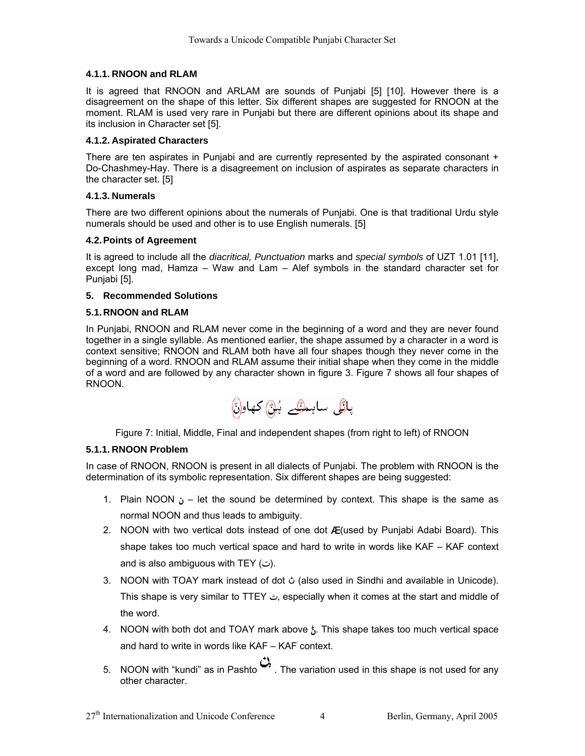# **4.1.1. RNOON and RLAM**

It is agreed that RNOON and ARLAM are sounds of Punjabi [5] [10]. However there is a disagreement on the shape of this letter. Six different shapes are suggested for RNOON at the moment. RLAM is used very rare in Punjabi but there are different opinions about its shape and its inclusion in Character set [5].

### **4.1.2. Aspirated Characters**

There are ten aspirates in Punjabi and are currently represented by the aspirated consonant + Do-Chashmey-Hay. There is a disagreement on inclusion of aspirates as separate characters in the character set. [5]

# **4.1.3. Numerals**

There are two different opinions about the numerals of Punjabi. One is that traditional Urdu style numerals should be used and other is to use English numerals. [5]

#### **4.2. Points of Agreement**

It is agreed to include all the *diacritical, Punctuation* marks and *special symbols* of UZT 1.01 [11], except long mad, Hamza – Waw and Lam – Alef symbols in the standard character set for Punjabi [5].

#### **5. Recommended Solutions**

#### **5.1. RNOON and RLAM**

In Punjabi, RNOON and RLAM never come in the beginning of a word and they are never found together in a single syllable. As mentioned earlier, the shape assumed by a character in a word is context sensitive; RNOON and RLAM both have all four shapes though they never come in the beginning of a word. RNOON and RLAM assume their initial shape when they come in the middle of a word and are followed by any character shown in figure 3. Figure 7 shows all four shapes of RNOON.



Figure 7: Initial, Middle, Final and independent shapes (from right to left) of RNOON

# **5.1.1. RNOON Problem**

In case of RNOON, RNOON is present in all dialects of Punjabi. The problem with RNOON is the determination of its symbolic representation. Six different shapes are being suggested:

- 1. Plain NOON  $\mathbf{j}$  let the sound be determined by context. This shape is the same as normal NOON and thus leads to ambiguity.
- 2. NOON with two vertical dots instead of one dot  $\boldsymbol{I}$  (used by Punjabi Adabi Board). This shape takes too much vertical space and hard to write in words like KAF – KAF context and is also ambiguous with TEY (ت).
- 3. NOON with TOAY mark instead of dot ڻ) also used in Sindhi and available in Unicode). This shape is very similar to TTEY L, especially when it comes at the start and middle of the word.
- 4. NOON with both dot and TOAY mark above  $\frac{1}{2}$ . This shape takes too much vertical space and hard to write in words like KAF – KAF context.
- 5. NOON with "kundi" as in Pashto  $\mathbb{C}$ . The variation used in this shape is not used for any other character.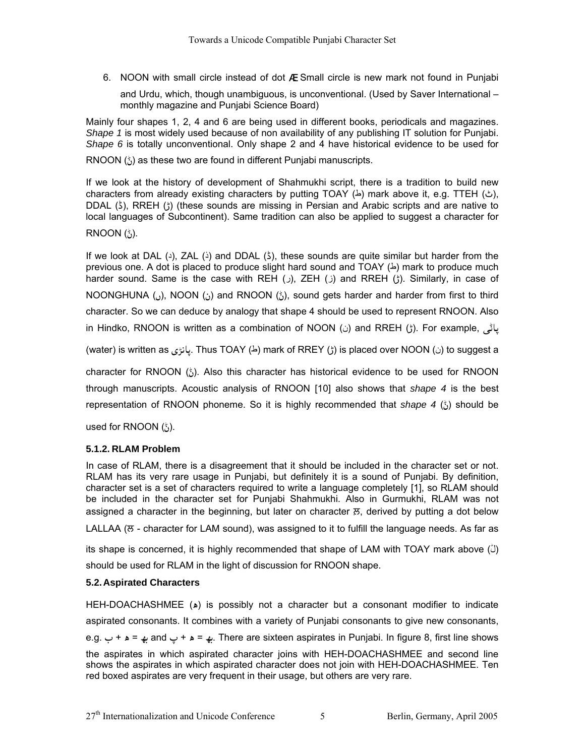6. NOON with small circle instead of dot Æ. Small circle is new mark not found in Punjabi

and Urdu, which, though unambiguous, is unconventional. (Used by Saver International – monthly magazine and Punjabi Science Board)

Mainly four shapes 1, 2, 4 and 6 are being used in different books, periodicals and magazines. *Shape 1* is most widely used because of non availability of any publishing IT solution for Punjabi. *Shape 6* is totally unconventional. Only shape 2 and 4 have historical evidence to be used for

RNOON  $\binom{k}{2}$  as these two are found in different Punjabi manuscripts.

If we look at the history of development of Shahmukhi script, there is a tradition to build new characters from already existing characters by putting TOAY ( $\Delta$ ) mark above it, e.g. TTEH ( $\Delta$ ), DDAL  $(5)$ , RREH  $(5)$  (these sounds are missing in Persian and Arabic scripts and are native to local languages of Subcontinent). Same tradition can also be applied to suggest a character for

# $RNOON(^{4}_{(1)}).$

If we look at DAL (2), ZAL (5) and DDAL (5), these sounds are quite similar but harder from the previous one. A dot is placed to produce slight hard sound and TOAY  $(4)$  mark to produce much harder sound. Same is the case with REH (j), ZEH (i) and RREH (f). Similarly, in case of NOONGHUNA ((i), NOON ((i) and RNOON ( $\zeta$ ), sound gets harder and harder from first to third character. So we can deduce by analogy that shape 4 should be used to represent RNOON. Also in Hindko, RNOON is written as a combination of NOON (ن) and RREH (ڑ). For example, آڈ

(water) is written as کانڑی Thus TOAY (ط) mark of RREY (ڑ) is placed over NOON ( $\omega$ ) to suggest a

character for RNOON ( $J$ ). Also this character has historical evidence to be used for RNOON through manuscripts. Acoustic analysis of RNOON [10] also shows that *shape 4* is the best representation of RNOON phoneme. So it is highly recommended that *shape 4*  $\binom{k}{2}$  should be

used for RNOON  $\binom{k}{i}$ .

# **5.1.2. RLAM Problem**

In case of RLAM, there is a disagreement that it should be included in the character set or not. RLAM has its very rare usage in Punjabi, but definitely it is a sound of Punjabi. By definition, character set is a set of characters required to write a language completely [1], so RLAM should be included in the character set for Punjabi Shahmukhi. Also in Gurmukhi, RLAM was not assigned a character in the beginning, but later on character ਲ਼, derived by putting a dot below

LALLAA ( $\overline{\sigma}$  - character for LAM sound), was assigned to it to fulfill the language needs. As far as

its shape is concerned, it is highly recommended that shape of LAM with TOAY mark above (() should be used for RLAM in the light of discussion for RNOON shape.

# **5.2. Aspirated Characters**

HEH-DOACHASHMEE (A) is possibly not a character but a consonant modifier to indicate aspirated consonants. It combines with a variety of Punjabi consonants to give new consonants, e.g. به = ه + ب and به = ه + ح There are sixteen aspirates in Punjabi. In figure 8, first line shows the aspirates in which aspirated character joins with HEH-DOACHASHMEE and second line shows the aspirates in which aspirated character does not join with HEH-DOACHASHMEE. Ten red boxed aspirates are very frequent in their usage, but others are very rare.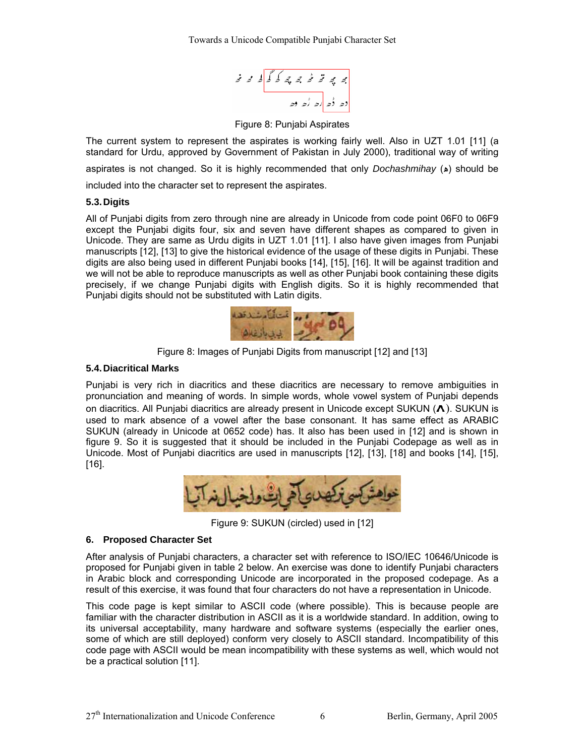$$
\begin{array}{c|cccc}\n\mathbf{a} & \mathbf{b} & \mathbf{c} & \mathbf{c} & \mathbf{c} & \mathbf{c} & \mathbf{c} & \mathbf{c} \\
\hline\n\mathbf{c} & \mathbf{c} & \mathbf{c} & \mathbf{c} & \mathbf{c} & \mathbf{c} & \mathbf{c} & \mathbf{c} \\
\hline\n\mathbf{c} & \mathbf{c} & \mathbf{c} & \mathbf{c} & \mathbf{c} & \mathbf{c} & \mathbf{c} & \mathbf{c} & \mathbf{c} & \mathbf{c} \\
\hline\n\mathbf{c} & \mathbf{c} & \mathbf{c} & \mathbf{c} & \mathbf{c} & \mathbf{c} & \mathbf{c} & \mathbf{c} & \mathbf{c} & \mathbf{c} & \mathbf{c} & \mathbf{c} & \mathbf{c} & \mathbf{c} & \mathbf{c} & \mathbf{c} & \mathbf{c} & \mathbf{c} & \mathbf{c} & \mathbf{c} & \mathbf{c} & \mathbf{c} & \mathbf{c} & \mathbf{c} & \mathbf{c} & \mathbf{c} & \mathbf{c} & \mathbf{c} & \mathbf{c} & \mathbf{c} & \mathbf{c} & \mathbf{c} & \mathbf{c} & \mathbf{c} & \mathbf{c} & \mathbf{c} & \mathbf{c} & \mathbf{c} & \mathbf{c} & \mathbf{c} & \mathbf{c} & \mathbf{c} & \mathbf{c} & \mathbf{c} & \mathbf{c} & \mathbf{c} & \mathbf{c} & \mathbf{c} & \mathbf{c} & \mathbf{c} & \mathbf{c} & \mathbf{c} & \mathbf{c} & \mathbf{c} & \mathbf{c} & \mathbf{c} & \mathbf{c} & \mathbf{c} & \mathbf{c} & \mathbf{c} & \mathbf{c} & \mathbf{c} & \mathbf{c} & \mathbf{c} & \mathbf{c} & \mathbf{c} & \mathbf{c} & \mathbf{c} & \mathbf{c} & \mathbf{c} & \mathbf{c} & \mathbf{c} & \mathbf{c} & \mathbf{c} & \mathbf{c} & \mathbf{c} & \mathbf{c} & \mathbf{c} & \mathbf{c} & \mathbf
$$

Figure 8: Punjabi Aspirates

The current system to represent the aspirates is working fairly well. Also in UZT 1.01 [11] (a standard for Urdu, approved by Government of Pakistan in July 2000), traditional way of writing aspirates is not changed. So it is highly recommended that only *Dochashmihay* (Ç) should be included into the character set to represent the aspirates.

# **5.3. Digits**

All of Punjabi digits from zero through nine are already in Unicode from code point 06F0 to 06F9 except the Punjabi digits four, six and seven have different shapes as compared to given in Unicode. They are same as Urdu digits in UZT 1.01 [11]. I also have given images from Punjabi manuscripts [12], [13] to give the historical evidence of the usage of these digits in Punjabi. These digits are also being used in different Punjabi books [14], [15], [16]. It will be against tradition and we will not be able to reproduce manuscripts as well as other Punjabi book containing these digits precisely, if we change Punjabi digits with English digits. So it is highly recommended that Punjabi digits should not be substituted with Latin digits.



Figure 8: Images of Punjabi Digits from manuscript [12] and [13]

# **5.4. Diacritical Marks**

Punjabi is very rich in diacritics and these diacritics are necessary to remove ambiguities in pronunciation and meaning of words. In simple words, whole vowel system of Punjabi depends on diacritics. All Punjabi diacritics are already present in Unicode except SUKUN  $($ **A** $)$ . SUKUN is used to mark absence of a vowel after the base consonant. It has same effect as ARABIC SUKUN (already in Unicode at 0652 code) has. It also has been used in [12] and is shown in figure 9. So it is suggested that it should be included in the Punjabi Codepage as well as in Unicode. Most of Punjabi diacritics are used in manuscripts [12], [13], [18] and books [14], [15], [16].



Figure 9: SUKUN (circled) used in [12]

# **6. Proposed Character Set**

After analysis of Punjabi characters, a character set with reference to ISO/IEC 10646/Unicode is proposed for Punjabi given in table 2 below. An exercise was done to identify Punjabi characters in Arabic block and corresponding Unicode are incorporated in the proposed codepage. As a result of this exercise, it was found that four characters do not have a representation in Unicode.

This code page is kept similar to ASCII code (where possible). This is because people are familiar with the character distribution in ASCII as it is a worldwide standard. In addition, owing to its universal acceptability, many hardware and software systems (especially the earlier ones, some of which are still deployed) conform very closely to ASCII standard. Incompatibility of this code page with ASCII would be mean incompatibility with these systems as well, which would not be a practical solution [11].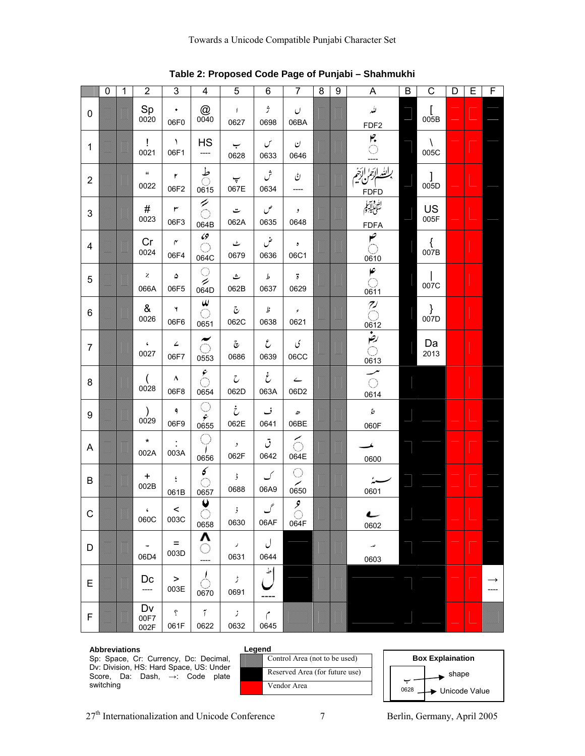|                           | $\mathbf 0$ | $\mathbf 1$ | $\overline{2}$        | $\mathbf{3}$                            | 4                            | 5                            | 6                                                                                                    | $\overline{7}$                                          | 8 | 9 | A                                             | $\sf B$ | $\mathsf C$                                                                       | D | E | F                     |
|---------------------------|-------------|-------------|-----------------------|-----------------------------------------|------------------------------|------------------------------|------------------------------------------------------------------------------------------------------|---------------------------------------------------------|---|---|-----------------------------------------------|---------|-----------------------------------------------------------------------------------|---|---|-----------------------|
| $\mathbf 0$               |             |             | Sp<br>0020            | ۰<br>06F0                               | @<br>0040                    | $\sqrt{ }$<br>0627           | $\dot{\mathcal{I}}$<br>0698                                                                          | $\cup$<br>06BA                                          |   |   | للد<br>FDF <sub>2</sub>                       |         | $\begin{array}{c} \left[ \right. \right. \left. 005 \text{B} \right. \end{array}$ |   |   |                       |
| $\mathbf{1}$              |             |             | Ţ<br>0021             | $\lambda$<br>06F1                       | <b>HS</b><br>----            | ب<br>0628                    | $\mathcal{C}$<br>0633                                                                                | $\mathbf{C}$<br>0646                                    |   |   | $\int_{0}^{2}$                                |         | $\sqrt{2}$<br>005C                                                                |   |   |                       |
| $\overline{2}$            |             |             | $\alpha$<br>0022      | $\pmb{\mathsf{r}}$<br>06F2              | ै<br>0615                    | $\overline{\cdot}$<br>067E   | ش<br>0634                                                                                            | ڻ<br>----                                               |   |   | <u>بالله ائ</u> زاً ائغُهُ<br><b>FDFD</b>     |         | $\mathbf{I}$<br>005D                                                              |   |   |                       |
| $\ensuremath{\mathsf{3}}$ |             |             | #<br>0023             | ٣<br>06F3                               | $\tilde{\circ}$<br>064B      | ت<br>062A                    | ص<br>0635                                                                                            | $\cdot$<br>0648                                         |   |   | الله و<br>سَأْعَلَٰلِيَهِمْ<br><b>FDFA</b>    |         | US<br>005F                                                                        |   |   |                       |
| 4                         |             |             | Cr<br>0024            | $\mathsf{r}$<br>06F4                    | 69<br>0<br>064C              | ٹ<br>0679                    | ض<br>0636                                                                                            | $\pmb{v}$<br>06C1                                       |   |   | $\mathbf{y}$<br>0610                          |         | {<br>007B                                                                         |   |   |                       |
| 5                         |             |             | $\chi$<br>066A        | ۵<br>06F5                               | O<br>⇙<br>064D               | ث<br>062B                    | $\mathcal{L}% _{A}=\mathcal{L}_{A}\!\left( A;B\right) ,\ \mathcal{L}_{A}\!\left( A;B\right)$<br>0637 | $\overline{b}$<br>0629                                  |   |   | صح<br>0611                                    |         | 007C                                                                              |   |   |                       |
| 6                         |             |             | &<br>0026             | Y<br>06F6                               | $\pmb{\omega}$<br>0651       | $\mathfrak{S}$<br>062C       | فله<br>0638                                                                                          | $\epsilon$<br>0621                                      |   |   | $O\sqrt{\frac{1}{\sqrt{2}}}$                  |         | $\left.\begin{array}{c} \big\} 007D \end{array}\right.$                           |   |   |                       |
| $\overline{7}$            |             |             | $\mathbf{C}$<br>0027  | $\angle$<br>06F7                        | ៍<br>0553                    | $\tilde{\mathbf{c}}$<br>0686 | $\mathcal{E}$<br>0639                                                                                | ى<br>06CC                                               |   |   |                                               |         | Da<br>2013                                                                        |   |   |                       |
| 8                         |             |             | 0028                  | ۸<br>06F8                               | $\hat{\mathcal{E}}$<br>0654  | $\mathcal{C}$<br>062D        | غ<br>063A                                                                                            | $\leftarrow$<br>06D2                                    |   |   | $\frac{0613}{\sqrt{1}}$<br>$\bigcirc$<br>0614 |         |                                                                                   |   |   |                       |
| 9                         |             |             | $\mathcal{C}$<br>0029 | ۹<br>06F9                               | O<br>$\frac{\epsilon}{0655}$ | خ<br>062E                    | ف<br>0641                                                                                            | $\mathcal D$<br>06BE                                    |   |   | $\acute{\varphi}$<br>060F                     |         |                                                                                   |   |   |                       |
| A                         |             |             | $\star$<br>002A       | 003A                                    | .<br>Saint<br>0656           | ر<br>062F                    | ق<br>0642                                                                                            | $\lesssim$<br>064E                                      |   |   | ◢<br>0600                                     |         |                                                                                   |   |   |                       |
| B                         |             |             | $\ddot{}$<br>002B     | $\overset{\mathfrak{c}}{\cdot}$<br>061B | $\pmb{\delta}$<br>O<br>0657  | ۇ<br>0688                    | ک<br>06A9                                                                                            | O<br>╱<br>0650                                          |   |   | سنذ<br>0601                                   |         |                                                                                   |   |   |                       |
| C                         |             |             | $\epsilon$<br>060C    | $\leq$<br>003C                          | U<br>$\bigcirc$<br>0658      | $\mathbf{j}$<br>0630         | $\mathcal{J}$<br>06AF                                                                                | $\overline{\mathcal{L}}$<br>$\circlearrowright$<br>064F |   |   | L<br>0602                                     |         |                                                                                   |   |   |                       |
| D                         |             |             | 06D4                  | $\equiv$<br>003D                        | Λ<br>O<br>----               | $\mathcal I$<br>0631         | ل<br>0644                                                                                            |                                                         |   |   | ص<br>0603                                     |         |                                                                                   |   |   |                       |
| E                         |             |             | Dc<br>----            | $\,$<br>003E                            | $\perp$<br>0670              | ڑ<br>0691                    | $\frac{1}{2}$<br>----                                                                                |                                                         |   |   |                                               |         |                                                                                   |   |   | $\rightarrow$<br>---- |
| F                         |             |             | Dv<br>00F7<br>002F    | $\dot{b}$<br>061F                       | $\tilde{I}$<br>0622          | $\mathcal{I}$<br>0632        | م<br>0645                                                                                            |                                                         |   |   |                                               |         |                                                                                   |   |   |                       |

**Table 2: Proposed Code Page of Punjabi – Shahmukhi**

#### **Abbreviations**

Sp: Space, Cr: Currency, Dc: Decimal, Dv: Division, HS: Hard Space, US: Under Score, Da: Dash, →: Code plate switching



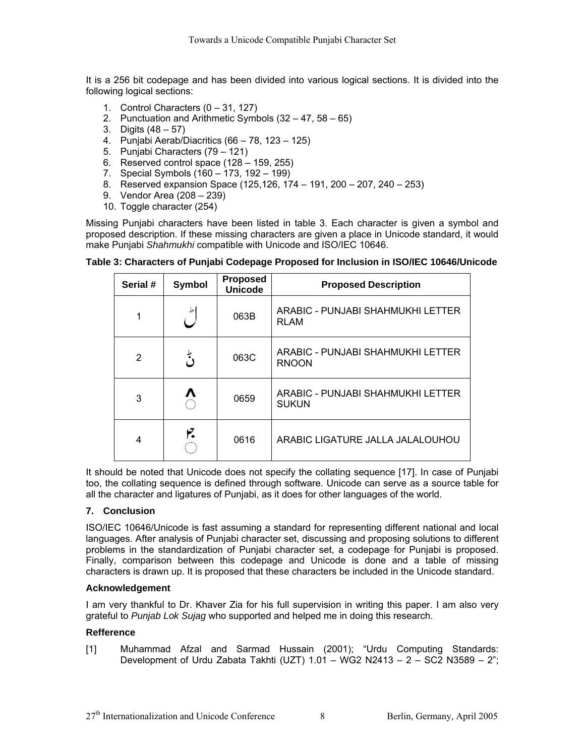It is a 256 bit codepage and has been divided into various logical sections. It is divided into the following logical sections:

- 1. Control Characters (0 31, 127)
- 2. Punctuation and Arithmetic Symbols (32 47, 58 65)
- 3. Digits (48 57)
- 4. Punjabi Aerab/Diacritics (66 78, 123 125)
- 5. Punjabi Characters (79 121)
- 6. Reserved control space (128 159, 255)
- 7. Special Symbols (160 173, 192 199)
- 8. Reserved expansion Space (125,126, 174 191, 200 207, 240 253)
- 9. Vendor Area (208 239)
- 10. Toggle character (254)

Missing Punjabi characters have been listed in table 3. Each character is given a symbol and proposed description. If these missing characters are given a place in Unicode standard, it would make Punjabi *Shahmukhi* compatible with Unicode and ISO/IEC 10646.

| Serial # | <b>Symbol</b> | <b>Proposed</b><br><b>Unicode</b> | <b>Proposed Description</b>                       |  |  |  |  |  |
|----------|---------------|-----------------------------------|---------------------------------------------------|--|--|--|--|--|
|          |               | 063B                              | ARABIC - PUNJABI SHAHMUKHI LETTER<br><b>RLAM</b>  |  |  |  |  |  |
| 2        | ط<br>دي       | 063C                              | ARABIC - PUNJABI SHAHMUKHI LETTER<br><b>RNOON</b> |  |  |  |  |  |
| 3        |               | 0659                              | ARABIC - PUNJABI SHAHMUKHI LETTER<br><b>SUKUN</b> |  |  |  |  |  |
| 4        |               | 0616                              | ARABIC LIGATURE JALLA JALALOUHOU                  |  |  |  |  |  |

**Table 3: Characters of Punjabi Codepage Proposed for Inclusion in ISO/IEC 10646/Unicode**

It should be noted that Unicode does not specify the collating sequence [17]. In case of Punjabi too, the collating sequence is defined through software. Unicode can serve as a source table for all the character and ligatures of Punjabi, as it does for other languages of the world.

# **7. Conclusion**

ISO/IEC 10646/Unicode is fast assuming a standard for representing different national and local languages. After analysis of Punjabi character set, discussing and proposing solutions to different problems in the standardization of Punjabi character set, a codepage for Punjabi is proposed. Finally, comparison between this codepage and Unicode is done and a table of missing characters is drawn up. It is proposed that these characters be included in the Unicode standard.

# **Acknowledgement**

I am very thankful to Dr. Khaver Zia for his full supervision in writing this paper. I am also very grateful to *Punjab Lok Sujag* who supported and helped me in doing this research.

# **Refference**

[1] Muhammad Afzal and Sarmad Hussain (2001); "Urdu Computing Standards: Development of Urdu Zabata Takhti (UZT)  $1.01 - WG2 N2413 - 2 - SC2 N3589 - 2$ ";